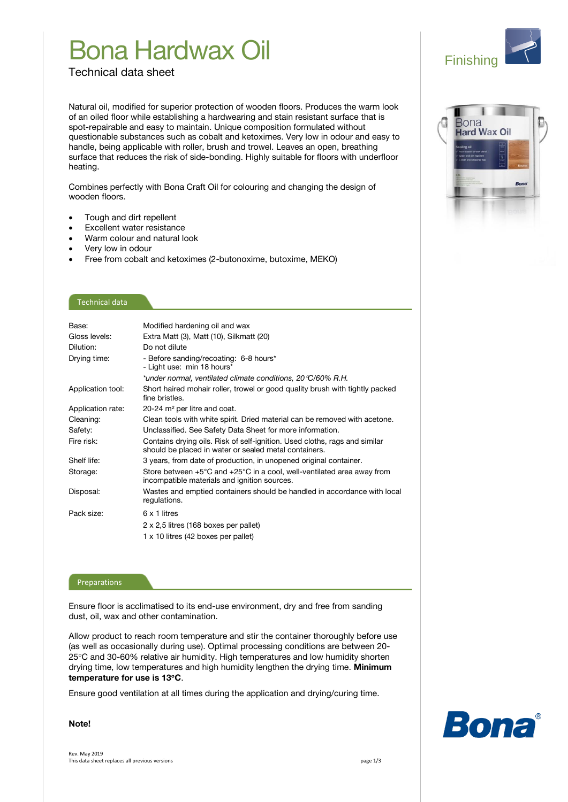## Bona Hardwax Oil

Finishing

lona **Hard Wax Oil** 

Technical data sheet

Natural oil, modified for superior protection of wooden floors. Produces the warm look of an oiled floor while establishing a hardwearing and stain resistant surface that is spot-repairable and easy to maintain. Unique composition formulated without questionable substances such as cobalt and ketoximes. Very low in odour and easy to handle, being applicable with roller, brush and trowel. Leaves an open, breathing surface that reduces the risk of side-bonding. Highly suitable for floors with underfloor heating.

Combines perfectly with Bona Craft Oil for colouring and changing the design of wooden floors.

- Tough and dirt repellent
- Excellent water resistance
- Warm colour and natural look
- Very low in odour
- Free from cobalt and ketoximes (2-butonoxime, butoxime, MEKO)

## Technical data

| Base:             | Modified hardening oil and wax                                                                                                             |
|-------------------|--------------------------------------------------------------------------------------------------------------------------------------------|
| Gloss levels:     | Extra Matt (3), Matt (10), Silkmatt (20)                                                                                                   |
| Dilution:         | Do not dilute                                                                                                                              |
| Drying time:      | - Before sanding/recoating: 6-8 hours*<br>- Light use: min 18 hours*                                                                       |
|                   | *under normal, ventilated climate conditions, 20 °C/60% R.H.                                                                               |
| Application tool: | Short haired mohair roller, trowel or good quality brush with tightly packed<br>fine bristles.                                             |
| Application rate: | 20-24 m <sup>2</sup> per litre and coat.                                                                                                   |
| Cleaning:         | Clean tools with white spirit. Dried material can be removed with acetone.                                                                 |
| Safety:           | Unclassified. See Safety Data Sheet for more information.                                                                                  |
| Fire risk:        | Contains drying oils. Risk of self-ignition. Used cloths, rags and similar<br>should be placed in water or sealed metal containers.        |
| Shelf life:       | 3 years, from date of production, in unopened original container.                                                                          |
| Storage:          | Store between $+5^{\circ}$ C and $+25^{\circ}$ C in a cool, well-ventilated area away from<br>incompatible materials and ignition sources. |
| Disposal:         | Wastes and emptied containers should be handled in accordance with local<br>regulations.                                                   |
| Pack size:        | 6 x 1 litres                                                                                                                               |
|                   | 2 x 2,5 litres (168 boxes per pallet)                                                                                                      |
|                   | 1 x 10 litres (42 boxes per pallet)                                                                                                        |

#### Preparations

Ensure floor is acclimatised to its end-use environment, dry and free from sanding dust, oil, wax and other contamination.

Allow product to reach room temperature and stir the container thoroughly before use (as well as occasionally during use). Optimal processing conditions are between 20- 25C and 30-60% relative air humidity. High temperatures and low humidity shorten drying time, low temperatures and high humidity lengthen the drying time. **Minimum temperature for use is 13C**.

Ensure good ventilation at all times during the application and drying/curing time.

**Note!**

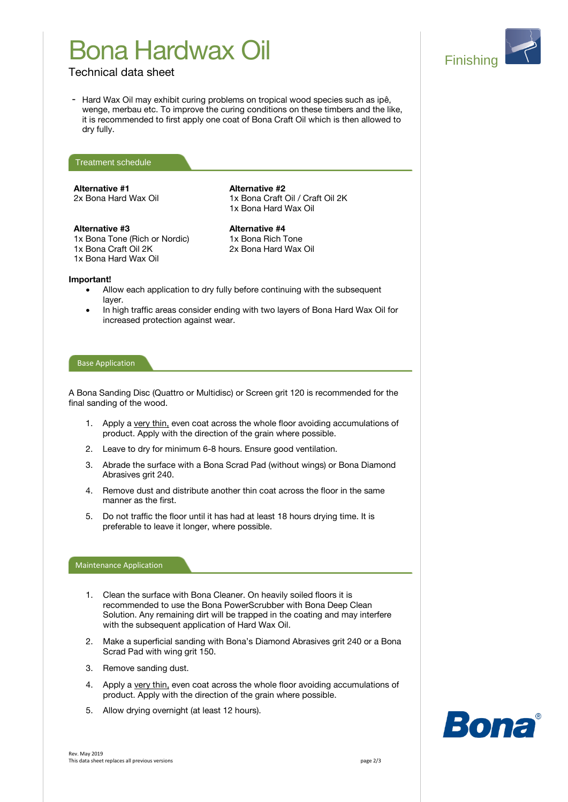# Bona Hardwax Oil



## Technical data sheet

- Hard Wax Oil may exhibit curing problems on tropical wood species such as ipê, wenge, merbau etc. To improve the curing conditions on these timbers and the like, it is recommended to first apply one coat of Bona Craft Oil which is then allowed to dry fully.



## **Alternative #1**

2x Bona Hard Wax Oil

**Alternative #3**

1x Bona Tone (Rich or Nordic) 1x Bona Craft Oil 2K 1x Bona Hard Wax Oil

1x Bona Hard Wax Oil

1x Bona Craft Oil / Craft Oil 2K

**Alternative #2**

**Alternative #4** 1x Bona Rich Tone 2x Bona Hard Wax Oil

### **Important!**

- Allow each application to dry fully before continuing with the subsequent layer.
- In high traffic areas consider ending with two layers of Bona Hard Wax Oil for increased protection against wear.

### Base Application

A Bona Sanding Disc (Quattro or Multidisc) or Screen grit 120 is recommended for the final sanding of the wood.

- 1. Apply a very thin, even coat across the whole floor avoiding accumulations of product. Apply with the direction of the grain where possible.
- 2. Leave to dry for minimum 6-8 hours. Ensure good ventilation.
- 3. Abrade the surface with a Bona Scrad Pad (without wings) or Bona Diamond Abrasives grit 240.
- 4. Remove dust and distribute another thin coat across the floor in the same manner as the first.
- 5. Do not traffic the floor until it has had at least 18 hours drying time. It is preferable to leave it longer, where possible.

### Maintenance Application

- 1. Clean the surface with Bona Cleaner. On heavily soiled floors it is recommended to use the Bona PowerScrubber with Bona Deep Clean Solution. Any remaining dirt will be trapped in the coating and may interfere with the subsequent application of Hard Wax Oil.
- 2. Make a superficial sanding with Bona's Diamond Abrasives grit 240 or a Bona Scrad Pad with wing grit 150.
- 3. Remove sanding dust.
- 4. Apply a very thin, even coat across the whole floor avoiding accumulations of product. Apply with the direction of the grain where possible.
- 5. Allow drying overnight (at least 12 hours).